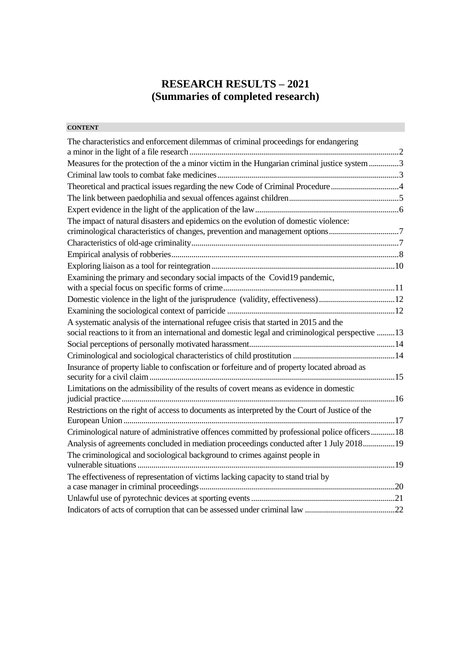# **RESEARCH RESULTS – 2021 (Summaries of completed research)**

# **CONTENT**

| The characteristics and enforcement dilemmas of criminal proceedings for endangering               |  |
|----------------------------------------------------------------------------------------------------|--|
|                                                                                                    |  |
| Measures for the protection of the a minor victim in the Hungarian criminal justice system 3       |  |
|                                                                                                    |  |
| Theoretical and practical issues regarding the new Code of Criminal Procedure4                     |  |
|                                                                                                    |  |
|                                                                                                    |  |
| The impact of natural disasters and epidemics on the evolution of domestic violence:               |  |
| criminological characteristics of changes, prevention and management options7                      |  |
|                                                                                                    |  |
|                                                                                                    |  |
|                                                                                                    |  |
| Examining the primary and secondary social impacts of the Covid19 pandemic,                        |  |
| Domestic violence in the light of the jurisprudence (validity, effectiveness)12                    |  |
|                                                                                                    |  |
| A systematic analysis of the international refugee crisis that started in 2015 and the             |  |
| social reactions to it from an international and domestic legal and criminological perspective  13 |  |
|                                                                                                    |  |
|                                                                                                    |  |
| Insurance of property liable to confiscation or forfeiture and of property located abroad as       |  |
| Limitations on the admissibility of the results of covert means as evidence in domestic            |  |
|                                                                                                    |  |
| Restrictions on the right of access to documents as interpreted by the Court of Justice of the     |  |
|                                                                                                    |  |
| Criminological nature of administrative offences committed by professional police officers18       |  |
| Analysis of agreements concluded in mediation proceedings conducted after 1 July 201819            |  |
| The criminological and sociological background to crimes against people in                         |  |
| The effectiveness of representation of victims lacking capacity to stand trial by                  |  |
|                                                                                                    |  |
|                                                                                                    |  |
|                                                                                                    |  |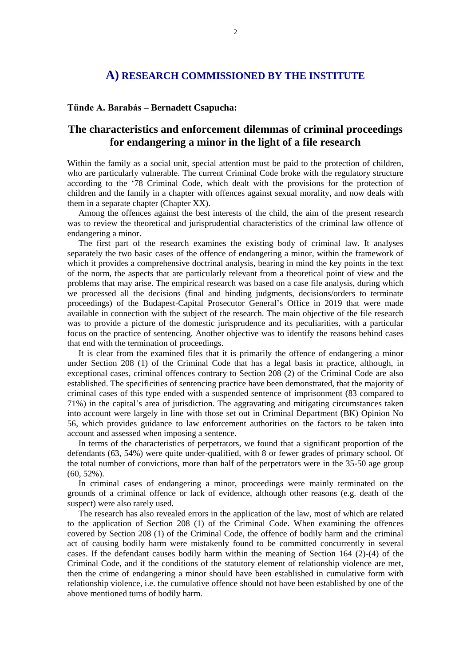## **A) RESEARCH COMMISSIONED BY THE INSTITUTE**

#### **Tünde A. Barabás – Bernadett Csapucha:**

# <span id="page-1-0"></span>**The characteristics and enforcement dilemmas of criminal proceedings for endangering a minor in the light of a file research**

Within the family as a social unit, special attention must be paid to the protection of children, who are particularly vulnerable. The current Criminal Code broke with the regulatory structure according to the '78 Criminal Code, which dealt with the provisions for the protection of children and the family in a chapter with offences against sexual morality, and now deals with them in a separate chapter (Chapter XX).

Among the offences against the best interests of the child, the aim of the present research was to review the theoretical and jurisprudential characteristics of the criminal law offence of endangering a minor.

The first part of the research examines the existing body of criminal law. It analyses separately the two basic cases of the offence of endangering a minor, within the framework of which it provides a comprehensive doctrinal analysis, bearing in mind the key points in the text of the norm, the aspects that are particularly relevant from a theoretical point of view and the problems that may arise. The empirical research was based on a case file analysis, during which we processed all the decisions (final and binding judgments, decisions/orders to terminate proceedings) of the Budapest-Capital Prosecutor General's Office in 2019 that were made available in connection with the subject of the research. The main objective of the file research was to provide a picture of the domestic jurisprudence and its peculiarities, with a particular focus on the practice of sentencing. Another objective was to identify the reasons behind cases that end with the termination of proceedings.

It is clear from the examined files that it is primarily the offence of endangering a minor under Section 208 (1) of the Criminal Code that has a legal basis in practice, although, in exceptional cases, criminal offences contrary to Section 208 (2) of the Criminal Code are also established. The specificities of sentencing practice have been demonstrated, that the majority of criminal cases of this type ended with a suspended sentence of imprisonment (83 compared to 71%) in the capital's area of jurisdiction. The aggravating and mitigating circumstances taken into account were largely in line with those set out in Criminal Department (BK) Opinion No 56, which provides guidance to law enforcement authorities on the factors to be taken into account and assessed when imposing a sentence.

In terms of the characteristics of perpetrators, we found that a significant proportion of the defendants (63, 54%) were quite under-qualified, with 8 or fewer grades of primary school. Of the total number of convictions, more than half of the perpetrators were in the 35-50 age group  $(60, 52\%)$ .

In criminal cases of endangering a minor, proceedings were mainly terminated on the grounds of a criminal offence or lack of evidence, although other reasons (e.g. death of the suspect) were also rarely used.

The research has also revealed errors in the application of the law, most of which are related to the application of Section 208 (1) of the Criminal Code. When examining the offences covered by Section 208 (1) of the Criminal Code, the offence of bodily harm and the criminal act of causing bodily harm were mistakenly found to be committed concurrently in several cases. If the defendant causes bodily harm within the meaning of Section 164 (2)-(4) of the Criminal Code, and if the conditions of the statutory element of relationship violence are met, then the crime of endangering a minor should have been established in cumulative form with relationship violence, i.e. the cumulative offence should not have been established by one of the above mentioned turns of bodily harm.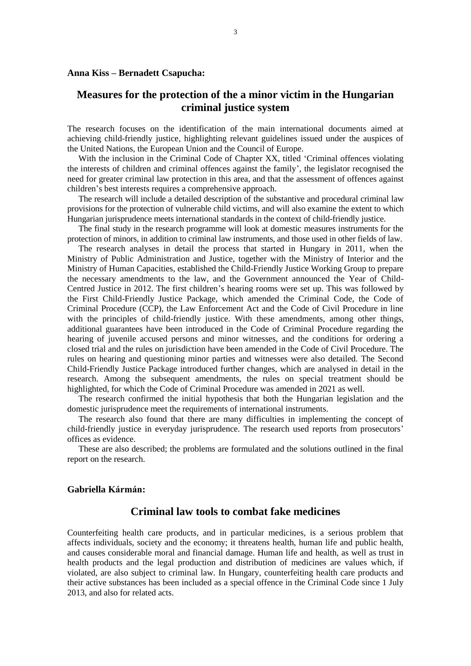### **Anna Kiss – Bernadett Csapucha:**

## <span id="page-2-0"></span>**Measures for the protection of the a minor victim in the Hungarian criminal justice system**

The research focuses on the identification of the main international documents aimed at achieving child-friendly justice, highlighting relevant guidelines issued under the auspices of the United Nations, the European Union and the Council of Europe.

With the inclusion in the Criminal Code of Chapter XX, titled 'Criminal offences violating the interests of children and criminal offences against the family', the legislator recognised the need for greater criminal law protection in this area, and that the assessment of offences against children's best interests requires a comprehensive approach.

The research will include a detailed description of the substantive and procedural criminal law provisions for the protection of vulnerable child victims, and will also examine the extent to which Hungarian jurisprudence meets international standards in the context of child-friendly justice.

The final study in the research programme will look at domestic measures instruments for the protection of minors, in addition to criminal law instruments, and those used in other fields of law.

The research analyses in detail the process that started in Hungary in 2011, when the Ministry of Public Administration and Justice, together with the Ministry of Interior and the Ministry of Human Capacities, established the Child-Friendly Justice Working Group to prepare the necessary amendments to the law, and the Government announced the Year of Child-Centred Justice in 2012. The first children's hearing rooms were set up. This was followed by the First Child-Friendly Justice Package, which amended the Criminal Code, the Code of Criminal Procedure (CCP), the Law Enforcement Act and the Code of Civil Procedure in line with the principles of child-friendly justice. With these amendments, among other things, additional guarantees have been introduced in the Code of Criminal Procedure regarding the hearing of juvenile accused persons and minor witnesses, and the conditions for ordering a closed trial and the rules on jurisdiction have been amended in the Code of Civil Procedure. The rules on hearing and questioning minor parties and witnesses were also detailed. The Second Child-Friendly Justice Package introduced further changes, which are analysed in detail in the research. Among the subsequent amendments, the rules on special treatment should be highlighted, for which the Code of Criminal Procedure was amended in 2021 as well.

The research confirmed the initial hypothesis that both the Hungarian legislation and the domestic jurisprudence meet the requirements of international instruments.

The research also found that there are many difficulties in implementing the concept of child-friendly justice in everyday jurisprudence. The research used reports from prosecutors' offices as evidence.

These are also described; the problems are formulated and the solutions outlined in the final report on the research.

### <span id="page-2-1"></span>**Gabriella Kármán:**

### **Criminal law tools to combat fake medicines**

Counterfeiting health care products, and in particular medicines, is a serious problem that affects individuals, society and the economy; it threatens health, human life and public health, and causes considerable moral and financial damage. Human life and health, as well as trust in health products and the legal production and distribution of medicines are values which, if violated, are also subject to criminal law. In Hungary, counterfeiting health care products and their active substances has been included as a special offence in the Criminal Code since 1 July 2013, and also for related acts.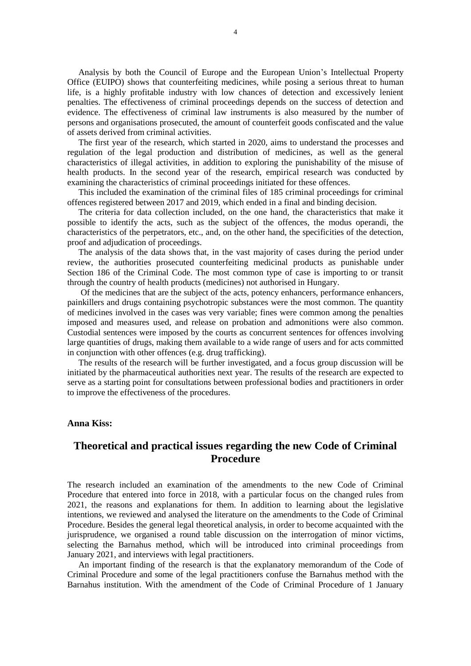Analysis by both the Council of Europe and the European Union's Intellectual Property Office (EUIPO) shows that counterfeiting medicines, while posing a serious threat to human life, is a highly profitable industry with low chances of detection and excessively lenient penalties. The effectiveness of criminal proceedings depends on the success of detection and evidence. The effectiveness of criminal law instruments is also measured by the number of persons and organisations prosecuted, the amount of counterfeit goods confiscated and the value of assets derived from criminal activities.

The first year of the research, which started in 2020, aims to understand the processes and regulation of the legal production and distribution of medicines, as well as the general characteristics of illegal activities, in addition to exploring the punishability of the misuse of health products. In the second year of the research, empirical research was conducted by examining the characteristics of criminal proceedings initiated for these offences.

This included the examination of the criminal files of 185 criminal proceedings for criminal offences registered between 2017 and 2019, which ended in a final and binding decision.

The criteria for data collection included, on the one hand, the characteristics that make it possible to identify the acts, such as the subject of the offences, the modus operandi, the characteristics of the perpetrators, etc., and, on the other hand, the specificities of the detection, proof and adjudication of proceedings.

The analysis of the data shows that, in the vast majority of cases during the period under review, the authorities prosecuted counterfeiting medicinal products as punishable under Section 186 of the Criminal Code. The most common type of case is importing to or transit through the country of health products (medicines) not authorised in Hungary.

Of the medicines that are the subject of the acts, potency enhancers, performance enhancers, painkillers and drugs containing psychotropic substances were the most common. The quantity of medicines involved in the cases was very variable; fines were common among the penalties imposed and measures used, and release on probation and admonitions were also common. Custodial sentences were imposed by the courts as concurrent sentences for offences involving large quantities of drugs, making them available to a wide range of users and for acts committed in conjunction with other offences (e.g. drug trafficking).

The results of the research will be further investigated, and a focus group discussion will be initiated by the pharmaceutical authorities next year. The results of the research are expected to serve as a starting point for consultations between professional bodies and practitioners in order to improve the effectiveness of the procedures.

#### **Anna Kiss:**

# <span id="page-3-0"></span>**Theoretical and practical issues regarding the new Code of Criminal Procedure**

The research included an examination of the amendments to the new Code of Criminal Procedure that entered into force in 2018, with a particular focus on the changed rules from 2021, the reasons and explanations for them. In addition to learning about the legislative intentions, we reviewed and analysed the literature on the amendments to the Code of Criminal Procedure. Besides the general legal theoretical analysis, in order to become acquainted with the jurisprudence, we organised a round table discussion on the interrogation of minor victims, selecting the Barnahus method, which will be introduced into criminal proceedings from January 2021, and interviews with legal practitioners.

An important finding of the research is that the explanatory memorandum of the Code of Criminal Procedure and some of the legal practitioners confuse the Barnahus method with the Barnahus institution. With the amendment of the Code of Criminal Procedure of 1 January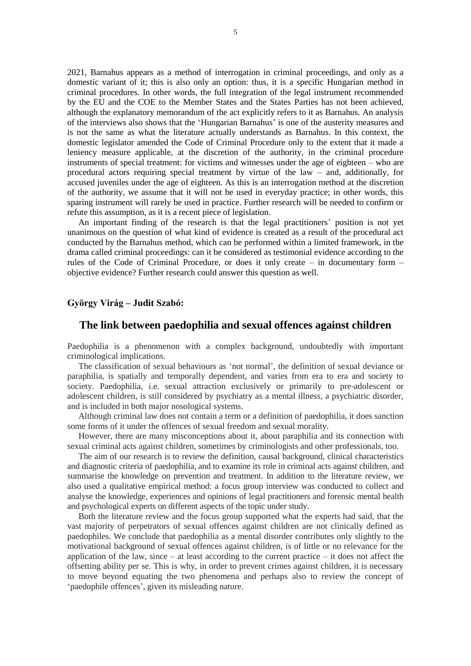2021, Barnahus appears as a method of interrogation in criminal proceedings, and only as a domestic variant of it; this is also only an option: thus, it is a specific Hungarian method in criminal procedures. In other words, the full integration of the legal instrument recommended by the EU and the COE to the Member States and the States Parties has not been achieved, although the explanatory memorandum of the act explicitly refers to it as Barnahus. An analysis of the interviews also shows that the 'Hungarian Barnahus' is one of the austerity measures and is not the same as what the literature actually understands as Barnahus. In this context, the domestic legislator amended the Code of Criminal Procedure only to the extent that it made a leniency measure applicable, at the discretion of the authority, in the criminal procedure instruments of special treatment: for victims and witnesses under the age of eighteen – who are procedural actors requiring special treatment by virtue of the law – and, additionally, for accused juveniles under the age of eighteen. As this is an interrogation method at the discretion of the authority, we assume that it will not be used in everyday practice; in other words, this sparing instrument will rarely be used in practice. Further research will be needed to confirm or refute this assumption, as it is a recent piece of legislation.

An important finding of the research is that the legal practitioners' position is not yet unanimous on the question of what kind of evidence is created as a result of the procedural act conducted by the Barnahus method, which can be performed within a limited framework, in the drama called criminal proceedings: can it be considered as testimonial evidence according to the rules of the Code of Criminal Procedure, or does it only create – in documentary form – objective evidence? Further research could answer this question as well.

### **György Virág – Judit Szabó:**

## <span id="page-4-0"></span>**The link between paedophilia and sexual offences against children**

Paedophilia is a phenomenon with a complex background, undoubtedly with important criminological implications.

The classification of sexual behaviours as 'not normal', the definition of sexual deviance or paraphilia, is spatially and temporally dependent, and varies from era to era and society to society. Paedophilia, i.e. sexual attraction exclusively or primarily to pre-adolescent or adolescent children, is still considered by psychiatry as a mental illness, a psychiatric disorder, and is included in both major nosological systems.

Although criminal law does not contain a term or a definition of paedophilia, it does sanction some forms of it under the offences of sexual freedom and sexual morality.

However, there are many misconceptions about it, about paraphilia and its connection with sexual criminal acts against children, sometimes by criminologists and other professionals, too.

The aim of our research is to review the definition, causal background, clinical characteristics and diagnostic criteria of paedophilia, and to examine its role in criminal acts against children, and summarise the knowledge on prevention and treatment. In addition to the literature review, we also used a qualitative empirical method: a focus group interview was conducted to collect and analyse the knowledge, experiences and opinions of legal practitioners and forensic mental health and psychological experts on different aspects of the topic under study.

Both the literature review and the focus group supported what the experts had said, that the vast majority of perpetrators of sexual offences against children are not clinically defined as paedophiles. We conclude that paedophilia as a mental disorder contributes only slightly to the motivational background of sexual offences against children, is of little or no relevance for the application of the law, since  $-$  at least according to the current practice  $-$  it does not affect the offsetting ability per se. This is why, in order to prevent crimes against children, it is necessary to move beyond equating the two phenomena and perhaps also to review the concept of 'paedophile offences', given its misleading nature.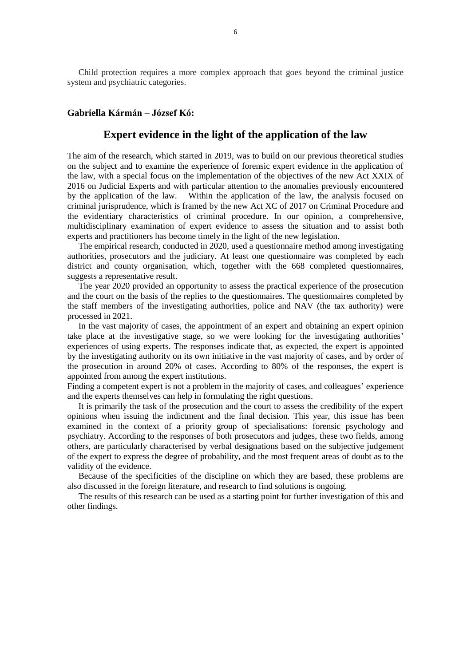Child protection requires a more complex approach that goes beyond the criminal justice system and psychiatric categories.

#### <span id="page-5-0"></span>**Gabriella Kármán – József Kó:**

### **Expert evidence in the light of the application of the law**

The aim of the research, which started in 2019, was to build on our previous theoretical studies on the subject and to examine the experience of forensic expert evidence in the application of the law, with a special focus on the implementation of the objectives of the new Act XXIX of 2016 on Judicial Experts and with particular attention to the anomalies previously encountered by the application of the law. Within the application of the law, the analysis focused on criminal jurisprudence, which is framed by the new Act XC of 2017 on Criminal Procedure and the evidentiary characteristics of criminal procedure. In our opinion, a comprehensive, multidisciplinary examination of expert evidence to assess the situation and to assist both experts and practitioners has become timely in the light of the new legislation.

The empirical research, conducted in 2020, used a questionnaire method among investigating authorities, prosecutors and the judiciary. At least one questionnaire was completed by each district and county organisation, which, together with the 668 completed questionnaires, suggests a representative result.

The year 2020 provided an opportunity to assess the practical experience of the prosecution and the court on the basis of the replies to the questionnaires. The questionnaires completed by the staff members of the investigating authorities, police and NAV (the tax authority) were processed in 2021.

In the vast majority of cases, the appointment of an expert and obtaining an expert opinion take place at the investigative stage, so we were looking for the investigating authorities' experiences of using experts. The responses indicate that, as expected, the expert is appointed by the investigating authority on its own initiative in the vast majority of cases, and by order of the prosecution in around 20% of cases. According to 80% of the responses, the expert is appointed from among the expert institutions.

Finding a competent expert is not a problem in the majority of cases, and colleagues' experience and the experts themselves can help in formulating the right questions.

It is primarily the task of the prosecution and the court to assess the credibility of the expert opinions when issuing the indictment and the final decision. This year, this issue has been examined in the context of a priority group of specialisations: forensic psychology and psychiatry. According to the responses of both prosecutors and judges, these two fields, among others, are particularly characterised by verbal designations based on the subjective judgement of the expert to express the degree of probability, and the most frequent areas of doubt as to the validity of the evidence.

Because of the specificities of the discipline on which they are based, these problems are also discussed in the foreign literature, and research to find solutions is ongoing.

The results of this research can be used as a starting point for further investigation of this and other findings.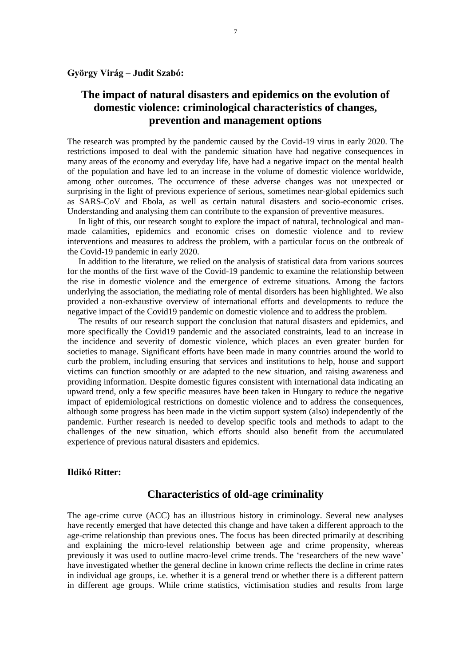# <span id="page-6-0"></span>**The impact of natural disasters and epidemics on the evolution of domestic violence: criminological characteristics of changes, prevention and management options**

The research was prompted by the pandemic caused by the Covid-19 virus in early 2020. The restrictions imposed to deal with the pandemic situation have had negative consequences in many areas of the economy and everyday life, have had a negative impact on the mental health of the population and have led to an increase in the volume of domestic violence worldwide, among other outcomes. The occurrence of these adverse changes was not unexpected or surprising in the light of previous experience of serious, sometimes near-global epidemics such as SARS-CoV and Ebola, as well as certain natural disasters and socio-economic crises. Understanding and analysing them can contribute to the expansion of preventive measures.

In light of this, our research sought to explore the impact of natural, technological and manmade calamities, epidemics and economic crises on domestic violence and to review interventions and measures to address the problem, with a particular focus on the outbreak of the Covid-19 pandemic in early 2020.

In addition to the literature, we relied on the analysis of statistical data from various sources for the months of the first wave of the Covid-19 pandemic to examine the relationship between the rise in domestic violence and the emergence of extreme situations. Among the factors underlying the association, the mediating role of mental disorders has been highlighted. We also provided a non-exhaustive overview of international efforts and developments to reduce the negative impact of the Covid19 pandemic on domestic violence and to address the problem.

The results of our research support the conclusion that natural disasters and epidemics, and more specifically the Covid19 pandemic and the associated constraints, lead to an increase in the incidence and severity of domestic violence, which places an even greater burden for societies to manage. Significant efforts have been made in many countries around the world to curb the problem, including ensuring that services and institutions to help, house and support victims can function smoothly or are adapted to the new situation, and raising awareness and providing information. Despite domestic figures consistent with international data indicating an upward trend, only a few specific measures have been taken in Hungary to reduce the negative impact of epidemiological restrictions on domestic violence and to address the consequences, although some progress has been made in the victim support system (also) independently of the pandemic. Further research is needed to develop specific tools and methods to adapt to the challenges of the new situation, which efforts should also benefit from the accumulated experience of previous natural disasters and epidemics.

### <span id="page-6-1"></span>**Ildikó Ritter:**

### **Characteristics of old-age criminality**

The age-crime curve (ACC) has an illustrious history in criminology. Several new analyses have recently emerged that have detected this change and have taken a different approach to the age-crime relationship than previous ones. The focus has been directed primarily at describing and explaining the micro-level relationship between age and crime propensity, whereas previously it was used to outline macro-level crime trends. The 'researchers of the new wave' have investigated whether the general decline in known crime reflects the decline in crime rates in individual age groups, i.e. whether it is a general trend or whether there is a different pattern in different age groups. While crime statistics, victimisation studies and results from large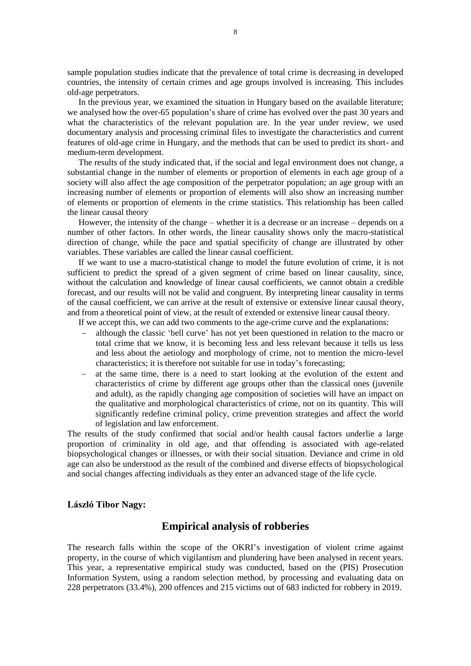sample population studies indicate that the prevalence of total crime is decreasing in developed countries, the intensity of certain crimes and age groups involved is increasing. This includes old-age perpetrators.

In the previous year, we examined the situation in Hungary based on the available literature; we analysed how the over-65 population's share of crime has evolved over the past 30 years and what the characteristics of the relevant population are. In the year under review, we used documentary analysis and processing criminal files to investigate the characteristics and current features of old-age crime in Hungary, and the methods that can be used to predict its short- and medium-term development.

The results of the study indicated that, if the social and legal environment does not change, a substantial change in the number of elements or proportion of elements in each age group of a society will also affect the age composition of the perpetrator population; an age group with an increasing number of elements or proportion of elements will also show an increasing number of elements or proportion of elements in the crime statistics. This relationship has been called the linear causal theory

However, the intensity of the change – whether it is a decrease or an increase – depends on a number of other factors. In other words, the linear causality shows only the macro-statistical direction of change, while the pace and spatial specificity of change are illustrated by other variables. These variables are called the linear causal coefficient.

If we want to use a macro-statistical change to model the future evolution of crime, it is not sufficient to predict the spread of a given segment of crime based on linear causality, since, without the calculation and knowledge of linear causal coefficients, we cannot obtain a credible forecast, and our results will not be valid and congruent. By interpreting linear causality in terms of the causal coefficient, we can arrive at the result of extensive or extensive linear causal theory, and from a theoretical point of view, at the result of extended or extensive linear causal theory.

If we accept this, we can add two comments to the age-crime curve and the explanations:

- although the classic 'bell curve' has not yet been questioned in relation to the macro or total crime that we know, it is becoming less and less relevant because it tells us less and less about the aetiology and morphology of crime, not to mention the micro-level characteristics; it is therefore not suitable for use in today's forecasting;
- at the same time, there is a need to start looking at the evolution of the extent and characteristics of crime by different age groups other than the classical ones (juvenile and adult), as the rapidly changing age composition of societies will have an impact on the qualitative and morphological characteristics of crime, not on its quantity. This will significantly redefine criminal policy, crime prevention strategies and affect the world of legislation and law enforcement.

The results of the study confirmed that social and/or health causal factors underlie a large proportion of criminality in old age, and that offending is associated with age-related biopsychological changes or illnesses, or with their social situation. Deviance and crime in old age can also be understood as the result of the combined and diverse effects of biopsychological and social changes affecting individuals as they enter an advanced stage of the life cycle.

#### <span id="page-7-0"></span>**László Tibor Nagy:**

### **Empirical analysis of robberies**

The research falls within the scope of the OKRI's investigation of violent crime against property, in the course of which vigilantism and plundering have been analysed in recent years. This year, a representative empirical study was conducted, based on the (PIS) Prosecution Information System, using a random selection method, by processing and evaluating data on 228 perpetrators (33.4%), 200 offences and 215 victims out of 683 indicted for robbery in 2019.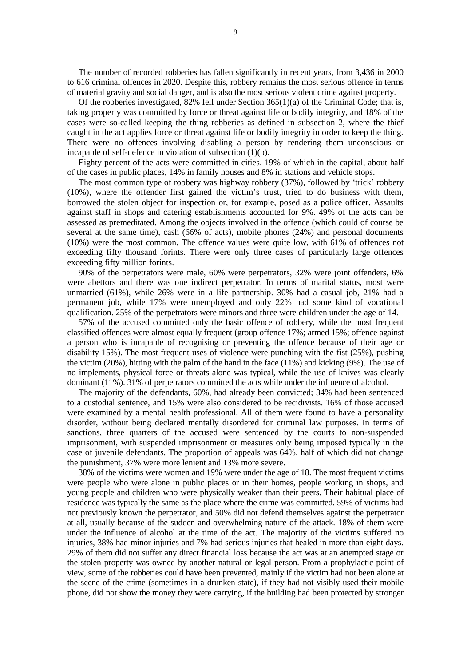The number of recorded robberies has fallen significantly in recent years, from 3,436 in 2000 to 616 criminal offences in 2020. Despite this, robbery remains the most serious offence in terms of material gravity and social danger, and is also the most serious violent crime against property.

Of the robberies investigated,  $82\%$  fell under Section  $365(1)(a)$  of the Criminal Code; that is, taking property was committed by force or threat against life or bodily integrity, and 18% of the cases were so-called keeping the thing robberies as defined in subsection 2, where the thief caught in the act applies force or threat against life or bodily integrity in order to keep the thing. There were no offences involving disabling a person by rendering them unconscious or incapable of self-defence in violation of subsection (1)(b).

Eighty percent of the acts were committed in cities, 19% of which in the capital, about half of the cases in public places, 14% in family houses and 8% in stations and vehicle stops.

The most common type of robbery was highway robbery (37%), followed by 'trick' robbery (10%), where the offender first gained the victim's trust, tried to do business with them, borrowed the stolen object for inspection or, for example, posed as a police officer. Assaults against staff in shops and catering establishments accounted for 9%. 49% of the acts can be assessed as premeditated. Among the objects involved in the offence (which could of course be several at the same time), cash (66% of acts), mobile phones (24%) and personal documents (10%) were the most common. The offence values were quite low, with 61% of offences not exceeding fifty thousand forints. There were only three cases of particularly large offences exceeding fifty million forints.

90% of the perpetrators were male, 60% were perpetrators, 32% were joint offenders, 6% were abettors and there was one indirect perpetrator. In terms of marital status, most were unmarried (61%), while 26% were in a life partnership. 30% had a casual job, 21% had a permanent job, while 17% were unemployed and only 22% had some kind of vocational qualification. 25% of the perpetrators were minors and three were children under the age of 14.

57% of the accused committed only the basic offence of robbery, while the most frequent classified offences were almost equally frequent (group offence 17%; armed 15%; offence against a person who is incapable of recognising or preventing the offence because of their age or disability 15%). The most frequent uses of violence were punching with the fist (25%), pushing the victim (20%), hitting with the palm of the hand in the face (11%) and kicking (9%). The use of no implements, physical force or threats alone was typical, while the use of knives was clearly dominant (11%). 31% of perpetrators committed the acts while under the influence of alcohol.

The majority of the defendants, 60%, had already been convicted; 34% had been sentenced to a custodial sentence, and 15% were also considered to be recidivists. 16% of those accused were examined by a mental health professional. All of them were found to have a personality disorder, without being declared mentally disordered for criminal law purposes. In terms of sanctions, three quarters of the accused were sentenced by the courts to non-suspended imprisonment, with suspended imprisonment or measures only being imposed typically in the case of juvenile defendants. The proportion of appeals was 64%, half of which did not change the punishment, 37% were more lenient and 13% more severe.

38% of the victims were women and 19% were under the age of 18. The most frequent victims were people who were alone in public places or in their homes, people working in shops, and young people and children who were physically weaker than their peers. Their habitual place of residence was typically the same as the place where the crime was committed. 59% of victims had not previously known the perpetrator, and 50% did not defend themselves against the perpetrator at all, usually because of the sudden and overwhelming nature of the attack. 18% of them were under the influence of alcohol at the time of the act. The majority of the victims suffered no injuries, 38% had minor injuries and 7% had serious injuries that healed in more than eight days. 29% of them did not suffer any direct financial loss because the act was at an attempted stage or the stolen property was owned by another natural or legal person. From a prophylactic point of view, some of the robberies could have been prevented, mainly if the victim had not been alone at the scene of the crime (sometimes in a drunken state), if they had not visibly used their mobile phone, did not show the money they were carrying, if the building had been protected by stronger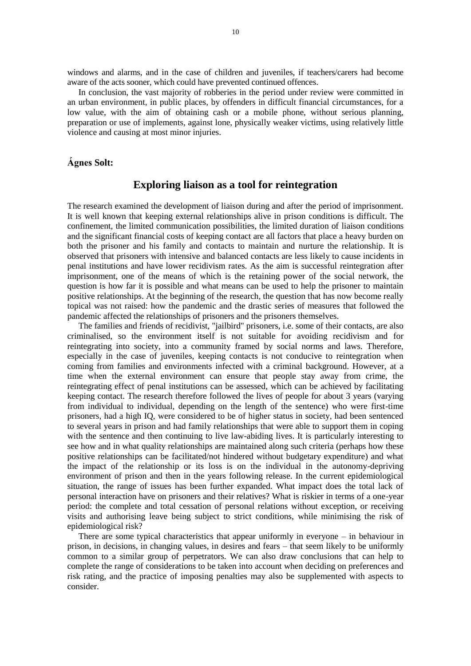windows and alarms, and in the case of children and juveniles, if teachers/carers had become aware of the acts sooner, which could have prevented continued offences.

In conclusion, the vast majority of robberies in the period under review were committed in an urban environment, in public places, by offenders in difficult financial circumstances, for a low value, with the aim of obtaining cash or a mobile phone, without serious planning, preparation or use of implements, against lone, physically weaker victims, using relatively little violence and causing at most minor injuries.

### <span id="page-9-0"></span>**Ágnes Solt:**

### **Exploring liaison as a tool for reintegration**

The research examined the development of liaison during and after the period of imprisonment. It is well known that keeping external relationships alive in prison conditions is difficult. The confinement, the limited communication possibilities, the limited duration of liaison conditions and the significant financial costs of keeping contact are all factors that place a heavy burden on both the prisoner and his family and contacts to maintain and nurture the relationship. It is observed that prisoners with intensive and balanced contacts are less likely to cause incidents in penal institutions and have lower recidivism rates. As the aim is successful reintegration after imprisonment, one of the means of which is the retaining power of the social network, the question is how far it is possible and what means can be used to help the prisoner to maintain positive relationships. At the beginning of the research, the question that has now become really topical was not raised: how the pandemic and the drastic series of measures that followed the pandemic affected the relationships of prisoners and the prisoners themselves.

The families and friends of recidivist, "jailbird" prisoners, i.e. some of their contacts, are also criminalised, so the environment itself is not suitable for avoiding recidivism and for reintegrating into society, into a community framed by social norms and laws. Therefore, especially in the case of juveniles, keeping contacts is not conducive to reintegration when coming from families and environments infected with a criminal background. However, at a time when the external environment can ensure that people stay away from crime, the reintegrating effect of penal institutions can be assessed, which can be achieved by facilitating keeping contact. The research therefore followed the lives of people for about 3 years (varying from individual to individual, depending on the length of the sentence) who were first-time prisoners, had a high IQ, were considered to be of higher status in society, had been sentenced to several years in prison and had family relationships that were able to support them in coping with the sentence and then continuing to live law-abiding lives. It is particularly interesting to see how and in what quality relationships are maintained along such criteria (perhaps how these positive relationships can be facilitated/not hindered without budgetary expenditure) and what the impact of the relationship or its loss is on the individual in the autonomy-depriving environment of prison and then in the years following release. In the current epidemiological situation, the range of issues has been further expanded. What impact does the total lack of personal interaction have on prisoners and their relatives? What is riskier in terms of a one-year period: the complete and total cessation of personal relations without exception, or receiving visits and authorising leave being subject to strict conditions, while minimising the risk of epidemiological risk?

There are some typical characteristics that appear uniformly in everyone – in behaviour in prison, in decisions, in changing values, in desires and fears – that seem likely to be uniformly common to a similar group of perpetrators. We can also draw conclusions that can help to complete the range of considerations to be taken into account when deciding on preferences and risk rating, and the practice of imposing penalties may also be supplemented with aspects to consider.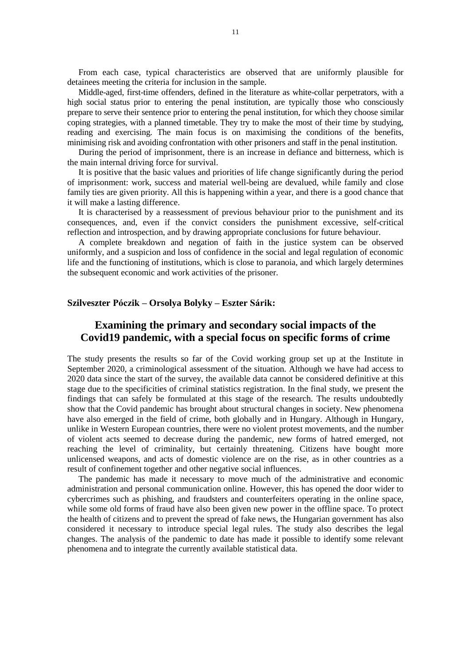From each case, typical characteristics are observed that are uniformly plausible for detainees meeting the criteria for inclusion in the sample.

Middle-aged, first-time offenders, defined in the literature as white-collar perpetrators, with a high social status prior to entering the penal institution, are typically those who consciously prepare to serve their sentence prior to entering the penal institution, for which they choose similar coping strategies, with a planned timetable. They try to make the most of their time by studying, reading and exercising. The main focus is on maximising the conditions of the benefits, minimising risk and avoiding confrontation with other prisoners and staff in the penal institution.

During the period of imprisonment, there is an increase in defiance and bitterness, which is the main internal driving force for survival.

It is positive that the basic values and priorities of life change significantly during the period of imprisonment: work, success and material well-being are devalued, while family and close family ties are given priority. All this is happening within a year, and there is a good chance that it will make a lasting difference.

It is characterised by a reassessment of previous behaviour prior to the punishment and its consequences, and, even if the convict considers the punishment excessive, self-critical reflection and introspection, and by drawing appropriate conclusions for future behaviour.

A complete breakdown and negation of faith in the justice system can be observed uniformly, and a suspicion and loss of confidence in the social and legal regulation of economic life and the functioning of institutions, which is close to paranoia, and which largely determines the subsequent economic and work activities of the prisoner.

### **Szilveszter Póczik – Orsolya Bolyky – Eszter Sárik:**

# <span id="page-10-0"></span>**Examining the primary and secondary social impacts of the Covid19 pandemic, with a special focus on specific forms of crime**

The study presents the results so far of the Covid working group set up at the Institute in September 2020, a criminological assessment of the situation. Although we have had access to 2020 data since the start of the survey, the available data cannot be considered definitive at this stage due to the specificities of criminal statistics registration. In the final study, we present the findings that can safely be formulated at this stage of the research. The results undoubtedly show that the Covid pandemic has brought about structural changes in society. New phenomena have also emerged in the field of crime, both globally and in Hungary. Although in Hungary, unlike in Western European countries, there were no violent protest movements, and the number of violent acts seemed to decrease during the pandemic, new forms of hatred emerged, not reaching the level of criminality, but certainly threatening. Citizens have bought more unlicensed weapons, and acts of domestic violence are on the rise, as in other countries as a result of confinement together and other negative social influences.

The pandemic has made it necessary to move much of the administrative and economic administration and personal communication online. However, this has opened the door wider to cybercrimes such as phishing, and fraudsters and counterfeiters operating in the online space, while some old forms of fraud have also been given new power in the offline space. To protect the health of citizens and to prevent the spread of fake news, the Hungarian government has also considered it necessary to introduce special legal rules. The study also describes the legal changes. The analysis of the pandemic to date has made it possible to identify some relevant phenomena and to integrate the currently available statistical data.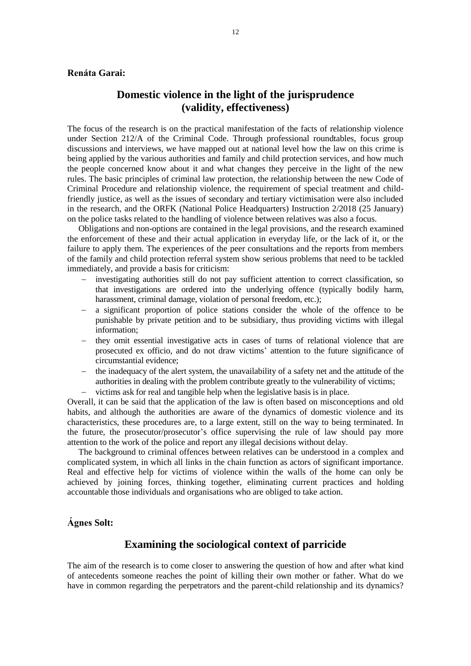### <span id="page-11-0"></span>**Renáta Garai:**

## **Domestic violence in the light of the jurisprudence (validity, effectiveness)**

The focus of the research is on the practical manifestation of the facts of relationship violence under Section 212/A of the Criminal Code. Through professional roundtables, focus group discussions and interviews, we have mapped out at national level how the law on this crime is being applied by the various authorities and family and child protection services, and how much the people concerned know about it and what changes they perceive in the light of the new rules. The basic principles of criminal law protection, the relationship between the new Code of Criminal Procedure and relationship violence, the requirement of special treatment and childfriendly justice, as well as the issues of secondary and tertiary victimisation were also included in the research, and the ORFK (National Police Headquarters) Instruction 2/2018 (25 January) on the police tasks related to the handling of violence between relatives was also a focus.

Obligations and non-options are contained in the legal provisions, and the research examined the enforcement of these and their actual application in everyday life, or the lack of it, or the failure to apply them. The experiences of the peer consultations and the reports from members of the family and child protection referral system show serious problems that need to be tackled immediately, and provide a basis for criticism:

- investigating authorities still do not pay sufficient attention to correct classification, so that investigations are ordered into the underlying offence (typically bodily harm, harassment, criminal damage, violation of personal freedom, etc.);
- a significant proportion of police stations consider the whole of the offence to be punishable by private petition and to be subsidiary, thus providing victims with illegal information;
- they omit essential investigative acts in cases of turns of relational violence that are prosecuted ex officio, and do not draw victims' attention to the future significance of circumstantial evidence;
- the inadequacy of the alert system, the unavailability of a safety net and the attitude of the authorities in dealing with the problem contribute greatly to the vulnerability of victims;
- victims ask for real and tangible help when the legislative basis is in place.

Overall, it can be said that the application of the law is often based on misconceptions and old habits, and although the authorities are aware of the dynamics of domestic violence and its characteristics, these procedures are, to a large extent, still on the way to being terminated. In the future, the prosecutor/prosecutor's office supervising the rule of law should pay more attention to the work of the police and report any illegal decisions without delay.

The background to criminal offences between relatives can be understood in a complex and complicated system, in which all links in the chain function as actors of significant importance. Real and effective help for victims of violence within the walls of the home can only be achieved by joining forces, thinking together, eliminating current practices and holding accountable those individuals and organisations who are obliged to take action.

#### <span id="page-11-1"></span>**Ágnes Solt:**

## **Examining the sociological context of parricide**

The aim of the research is to come closer to answering the question of how and after what kind of antecedents someone reaches the point of killing their own mother or father. What do we have in common regarding the perpetrators and the parent-child relationship and its dynamics?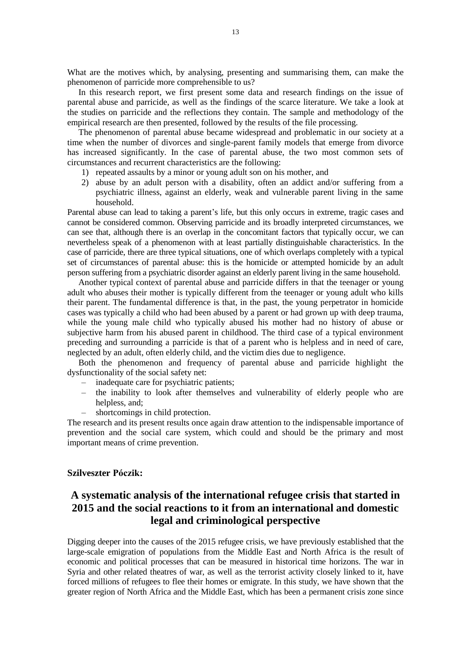What are the motives which, by analysing, presenting and summarising them, can make the phenomenon of parricide more comprehensible to us?

In this research report, we first present some data and research findings on the issue of parental abuse and parricide, as well as the findings of the scarce literature. We take a look at the studies on parricide and the reflections they contain. The sample and methodology of the empirical research are then presented, followed by the results of the file processing.

The phenomenon of parental abuse became widespread and problematic in our society at a time when the number of divorces and single-parent family models that emerge from divorce has increased significantly. In the case of parental abuse, the two most common sets of circumstances and recurrent characteristics are the following:

- 1) repeated assaults by a minor or young adult son on his mother, and
- 2) abuse by an adult person with a disability, often an addict and/or suffering from a psychiatric illness, against an elderly, weak and vulnerable parent living in the same household.

Parental abuse can lead to taking a parent's life, but this only occurs in extreme, tragic cases and cannot be considered common. Observing parricide and its broadly interpreted circumstances, we can see that, although there is an overlap in the concomitant factors that typically occur, we can nevertheless speak of a phenomenon with at least partially distinguishable characteristics. In the case of parricide, there are three typical situations, one of which overlaps completely with a typical set of circumstances of parental abuse: this is the homicide or attempted homicide by an adult person suffering from a psychiatric disorder against an elderly parent living in the same household.

Another typical context of parental abuse and parricide differs in that the teenager or young adult who abuses their mother is typically different from the teenager or young adult who kills their parent. The fundamental difference is that, in the past, the young perpetrator in homicide cases was typically a child who had been abused by a parent or had grown up with deep trauma, while the young male child who typically abused his mother had no history of abuse or subjective harm from his abused parent in childhood. The third case of a typical environment preceding and surrounding a parricide is that of a parent who is helpless and in need of care, neglected by an adult, often elderly child, and the victim dies due to negligence.

Both the phenomenon and frequency of parental abuse and parricide highlight the dysfunctionality of the social safety net:

- inadequate care for psychiatric patients;
- the inability to look after themselves and vulnerability of elderly people who are helpless, and;
- shortcomings in child protection.

The research and its present results once again draw attention to the indispensable importance of prevention and the social care system, which could and should be the primary and most important means of crime prevention.

#### **Szilveszter Póczik:**

# <span id="page-12-0"></span>**A systematic analysis of the international refugee crisis that started in 2015 and the social reactions to it from an international and domestic legal and criminological perspective**

Digging deeper into the causes of the 2015 refugee crisis, we have previously established that the large-scale emigration of populations from the Middle East and North Africa is the result of economic and political processes that can be measured in historical time horizons. The war in Syria and other related theatres of war, as well as the terrorist activity closely linked to it, have forced millions of refugees to flee their homes or emigrate. In this study, we have shown that the greater region of North Africa and the Middle East, which has been a permanent crisis zone since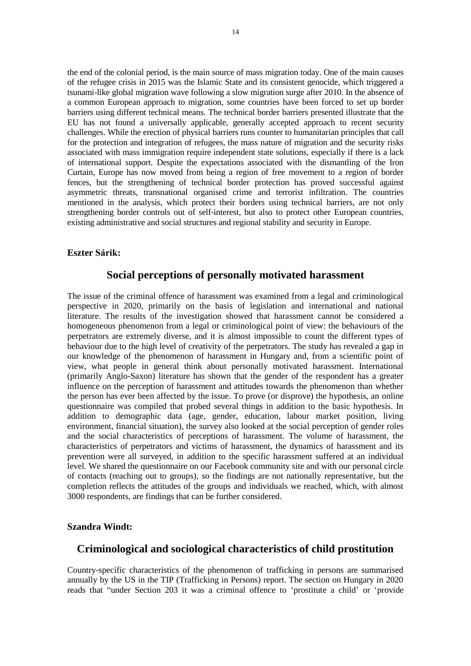the end of the colonial period, is the main source of mass migration today. One of the main causes of the refugee crisis in 2015 was the Islamic State and its consistent genocide, which triggered a tsunami-like global migration wave following a slow migration surge after 2010. In the absence of a common European approach to migration, some countries have been forced to set up border barriers using different technical means. The technical border barriers presented illustrate that the EU has not found a universally applicable, generally accepted approach to recent security challenges. While the erection of physical barriers runs counter to humanitarian principles that call for the protection and integration of refugees, the mass nature of migration and the security risks associated with mass immigration require independent state solutions, especially if there is a lack of international support. Despite the expectations associated with the dismantling of the Iron Curtain, Europe has now moved from being a region of free movement to a region of border fences, but the strengthening of technical border protection has proved successful against asymmetric threats, transnational organised crime and terrorist infiltration. The countries mentioned in the analysis, which protect their borders using technical barriers, are not only strengthening border controls out of self-interest, but also to protect other European countries, existing administrative and social structures and regional stability and security in Europe.

### <span id="page-13-0"></span>**Eszter Sárik:**

## **Social perceptions of personally motivated harassment**

The issue of the criminal offence of harassment was examined from a legal and criminological perspective in 2020, primarily on the basis of legislation and international and national literature. The results of the investigation showed that harassment cannot be considered a homogeneous phenomenon from a legal or criminological point of view: the behaviours of the perpetrators are extremely diverse, and it is almost impossible to count the different types of behaviour due to the high level of creativity of the perpetrators. The study has revealed a gap in our knowledge of the phenomenon of harassment in Hungary and, from a scientific point of view, what people in general think about personally motivated harassment. International (primarily Anglo-Saxon) literature has shown that the gender of the respondent has a greater influence on the perception of harassment and attitudes towards the phenomenon than whether the person has ever been affected by the issue. To prove (or disprove) the hypothesis, an online questionnaire was compiled that probed several things in addition to the basic hypothesis. In addition to demographic data (age, gender, education, labour market position, living environment, financial situation), the survey also looked at the social perception of gender roles and the social characteristics of perceptions of harassment. The volume of harassment, the characteristics of perpetrators and victims of harassment, the dynamics of harassment and its prevention were all surveyed, in addition to the specific harassment suffered at an individual level. We shared the questionnaire on our Facebook community site and with our personal circle of contacts (reaching out to groups), so the findings are not nationally representative, but the completion reflects the attitudes of the groups and individuals we reached, which, with almost 3000 respondents, are findings that can be further considered.

### **Szandra Windt:**

## <span id="page-13-1"></span>**Criminological and sociological characteristics of child prostitution**

Country-specific characteristics of the phenomenon of trafficking in persons are summarised annually by the US in the TIP (Trafficking in Persons) report. The section on Hungary in 2020 reads that "under Section 203 it was a criminal offence to 'prostitute a child' or 'provide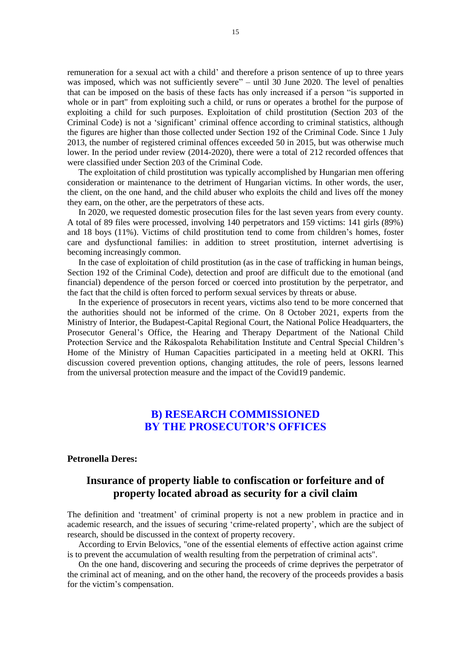remuneration for a sexual act with a child' and therefore a prison sentence of up to three years was imposed, which was not sufficiently severe" – until 30 June 2020. The level of penalties that can be imposed on the basis of these facts has only increased if a person "is supported in whole or in part" from exploiting such a child, or runs or operates a brothel for the purpose of exploiting a child for such purposes. Exploitation of child prostitution (Section 203 of the Criminal Code) is not a 'significant' criminal offence according to criminal statistics, although the figures are higher than those collected under Section 192 of the Criminal Code. Since 1 July 2013, the number of registered criminal offences exceeded 50 in 2015, but was otherwise much lower. In the period under review (2014-2020), there were a total of 212 recorded offences that were classified under Section 203 of the Criminal Code.

The exploitation of child prostitution was typically accomplished by Hungarian men offering consideration or maintenance to the detriment of Hungarian victims. In other words, the user, the client, on the one hand, and the child abuser who exploits the child and lives off the money they earn, on the other, are the perpetrators of these acts.

In 2020, we requested domestic prosecution files for the last seven years from every county. A total of 89 files were processed, involving 140 perpetrators and 159 victims: 141 girls (89%) and 18 boys (11%). Victims of child prostitution tend to come from children's homes, foster care and dysfunctional families: in addition to street prostitution, internet advertising is becoming increasingly common.

In the case of exploitation of child prostitution (as in the case of trafficking in human beings, Section 192 of the Criminal Code), detection and proof are difficult due to the emotional (and financial) dependence of the person forced or coerced into prostitution by the perpetrator, and the fact that the child is often forced to perform sexual services by threats or abuse.

In the experience of prosecutors in recent years, victims also tend to be more concerned that the authorities should not be informed of the crime. On 8 October 2021, experts from the Ministry of Interior, the Budapest-Capital Regional Court, the National Police Headquarters, the Prosecutor General's Office, the Hearing and Therapy Department of the National Child Protection Service and the Rákospalota Rehabilitation Institute and Central Special Children's Home of the Ministry of Human Capacities participated in a meeting held at OKRI. This discussion covered prevention options, changing attitudes, the role of peers, lessons learned from the universal protection measure and the impact of the Covid19 pandemic.

## **B) RESEARCH COMMISSIONED BY THE PROSECUTOR'S OFFICES**

#### <span id="page-14-0"></span>**Petronella Deres:**

# **Insurance of property liable to confiscation or forfeiture and of property located abroad as security for a civil claim**

The definition and 'treatment' of criminal property is not a new problem in practice and in academic research, and the issues of securing 'crime-related property', which are the subject of research, should be discussed in the context of property recovery.

According to Ervin Belovics, "one of the essential elements of effective action against crime is to prevent the accumulation of wealth resulting from the perpetration of criminal acts".

On the one hand, discovering and securing the proceeds of crime deprives the perpetrator of the criminal act of meaning, and on the other hand, the recovery of the proceeds provides a basis for the victim's compensation.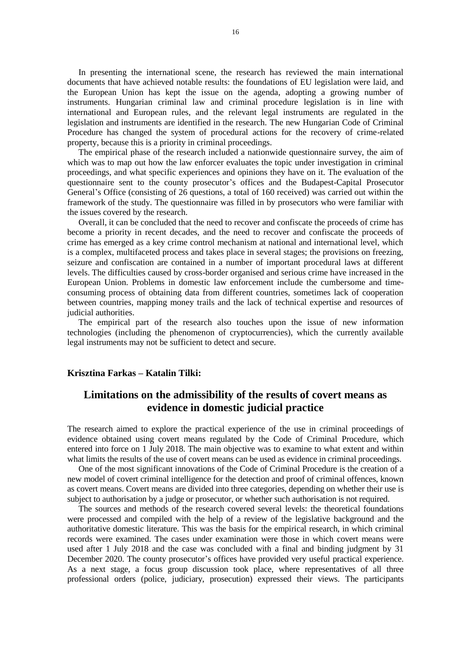In presenting the international scene, the research has reviewed the main international documents that have achieved notable results: the foundations of EU legislation were laid, and the European Union has kept the issue on the agenda, adopting a growing number of instruments. Hungarian criminal law and criminal procedure legislation is in line with international and European rules, and the relevant legal instruments are regulated in the legislation and instruments are identified in the research. The new Hungarian Code of Criminal Procedure has changed the system of procedural actions for the recovery of crime-related property, because this is a priority in criminal proceedings.

The empirical phase of the research included a nationwide questionnaire survey, the aim of which was to map out how the law enforcer evaluates the topic under investigation in criminal proceedings, and what specific experiences and opinions they have on it. The evaluation of the questionnaire sent to the county prosecutor's offices and the Budapest-Capital Prosecutor General's Office (consisting of 26 questions, a total of 160 received) was carried out within the framework of the study. The questionnaire was filled in by prosecutors who were familiar with the issues covered by the research.

Overall, it can be concluded that the need to recover and confiscate the proceeds of crime has become a priority in recent decades, and the need to recover and confiscate the proceeds of crime has emerged as a key crime control mechanism at national and international level, which is a complex, multifaceted process and takes place in several stages; the provisions on freezing, seizure and confiscation are contained in a number of important procedural laws at different levels. The difficulties caused by cross-border organised and serious crime have increased in the European Union. Problems in domestic law enforcement include the cumbersome and timeconsuming process of obtaining data from different countries, sometimes lack of cooperation between countries, mapping money trails and the lack of technical expertise and resources of judicial authorities.

The empirical part of the research also touches upon the issue of new information technologies (including the phenomenon of cryptocurrencies), which the currently available legal instruments may not be sufficient to detect and secure.

### **Krisztina Farkas – Katalin Tilki:**

# <span id="page-15-0"></span>**Limitations on the admissibility of the results of covert means as evidence in domestic judicial practice**

The research aimed to explore the practical experience of the use in criminal proceedings of evidence obtained using covert means regulated by the Code of Criminal Procedure, which entered into force on 1 July 2018. The main objective was to examine to what extent and within what limits the results of the use of covert means can be used as evidence in criminal proceedings.

One of the most significant innovations of the Code of Criminal Procedure is the creation of a new model of covert criminal intelligence for the detection and proof of criminal offences, known as covert means. Covert means are divided into three categories, depending on whether their use is subject to authorisation by a judge or prosecutor, or whether such authorisation is not required.

The sources and methods of the research covered several levels: the theoretical foundations were processed and compiled with the help of a review of the legislative background and the authoritative domestic literature. This was the basis for the empirical research, in which criminal records were examined. The cases under examination were those in which covert means were used after 1 July 2018 and the case was concluded with a final and binding judgment by 31 December 2020. The county prosecutor's offices have provided very useful practical experience. As a next stage, a focus group discussion took place, where representatives of all three professional orders (police, judiciary, prosecution) expressed their views. The participants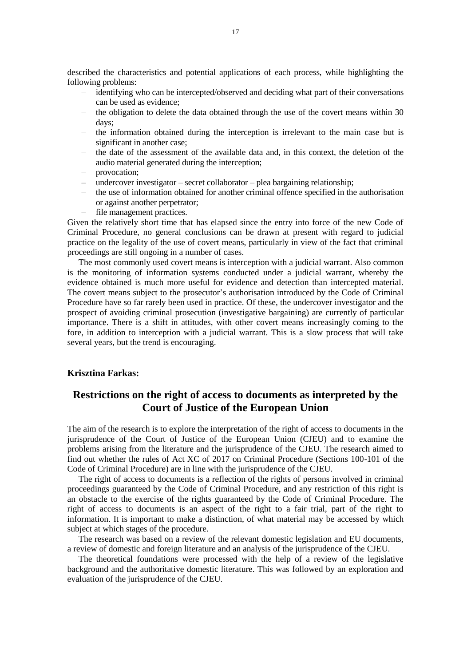described the characteristics and potential applications of each process, while highlighting the following problems:

- identifying who can be intercepted/observed and deciding what part of their conversations can be used as evidence;
- the obligation to delete the data obtained through the use of the covert means within 30 days;
- the information obtained during the interception is irrelevant to the main case but is significant in another case;
- the date of the assessment of the available data and, in this context, the deletion of the audio material generated during the interception;
- provocation;
- $\mu$ undercover investigator secret collaborator plea bargaining relationship;
- the use of information obtained for another criminal offence specified in the authorisation or against another perpetrator;
- file management practices.

Given the relatively short time that has elapsed since the entry into force of the new Code of Criminal Procedure, no general conclusions can be drawn at present with regard to judicial practice on the legality of the use of covert means, particularly in view of the fact that criminal proceedings are still ongoing in a number of cases.

The most commonly used covert means is interception with a judicial warrant. Also common is the monitoring of information systems conducted under a judicial warrant, whereby the evidence obtained is much more useful for evidence and detection than intercepted material. The covert means subject to the prosecutor's authorisation introduced by the Code of Criminal Procedure have so far rarely been used in practice. Of these, the undercover investigator and the prospect of avoiding criminal prosecution (investigative bargaining) are currently of particular importance. There is a shift in attitudes, with other covert means increasingly coming to the fore, in addition to interception with a judicial warrant. This is a slow process that will take several years, but the trend is encouraging.

#### **Krisztina Farkas:**

# <span id="page-16-0"></span>**Restrictions on the right of access to documents as interpreted by the Court of Justice of the European Union**

The aim of the research is to explore the interpretation of the right of access to documents in the jurisprudence of the Court of Justice of the European Union (CJEU) and to examine the problems arising from the literature and the jurisprudence of the CJEU. The research aimed to find out whether the rules of Act XC of 2017 on Criminal Procedure (Sections 100-101 of the Code of Criminal Procedure) are in line with the jurisprudence of the CJEU.

The right of access to documents is a reflection of the rights of persons involved in criminal proceedings guaranteed by the Code of Criminal Procedure, and any restriction of this right is an obstacle to the exercise of the rights guaranteed by the Code of Criminal Procedure. The right of access to documents is an aspect of the right to a fair trial, part of the right to information. It is important to make a distinction, of what material may be accessed by which subject at which stages of the procedure.

The research was based on a review of the relevant domestic legislation and EU documents, a review of domestic and foreign literature and an analysis of the jurisprudence of the CJEU.

The theoretical foundations were processed with the help of a review of the legislative background and the authoritative domestic literature. This was followed by an exploration and evaluation of the jurisprudence of the CJEU.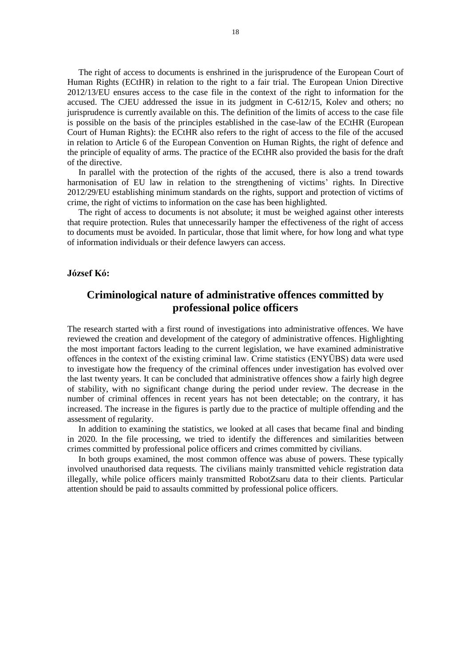The right of access to documents is enshrined in the jurisprudence of the European Court of Human Rights (ECtHR) in relation to the right to a fair trial. The European Union Directive 2012/13/EU ensures access to the case file in the context of the right to information for the accused. The CJEU addressed the issue in its judgment in C-612/15, Kolev and others; no jurisprudence is currently available on this. The definition of the limits of access to the case file is possible on the basis of the principles established in the case-law of the ECtHR (European Court of Human Rights): the ECtHR also refers to the right of access to the file of the accused in relation to Article 6 of the European Convention on Human Rights, the right of defence and the principle of equality of arms. The practice of the ECtHR also provided the basis for the draft of the directive.

In parallel with the protection of the rights of the accused, there is also a trend towards harmonisation of EU law in relation to the strengthening of victims' rights. In Directive 2012/29/EU establishing minimum standards on the rights, support and protection of victims of crime, the right of victims to information on the case has been highlighted.

The right of access to documents is not absolute; it must be weighed against other interests that require protection. Rules that unnecessarily hamper the effectiveness of the right of access to documents must be avoided. In particular, those that limit where, for how long and what type of information individuals or their defence lawyers can access.

#### <span id="page-17-0"></span>**József Kó:**

## **Criminological nature of administrative offences committed by professional police officers**

The research started with a first round of investigations into administrative offences. We have reviewed the creation and development of the category of administrative offences. Highlighting the most important factors leading to the current legislation, we have examined administrative offences in the context of the existing criminal law. Crime statistics (ENYÜBS) data were used to investigate how the frequency of the criminal offences under investigation has evolved over the last twenty years. It can be concluded that administrative offences show a fairly high degree of stability, with no significant change during the period under review. The decrease in the number of criminal offences in recent years has not been detectable; on the contrary, it has increased. The increase in the figures is partly due to the practice of multiple offending and the assessment of regularity.

In addition to examining the statistics, we looked at all cases that became final and binding in 2020. In the file processing, we tried to identify the differences and similarities between crimes committed by professional police officers and crimes committed by civilians.

In both groups examined, the most common offence was abuse of powers. These typically involved unauthorised data requests. The civilians mainly transmitted vehicle registration data illegally, while police officers mainly transmitted RobotZsaru data to their clients. Particular attention should be paid to assaults committed by professional police officers.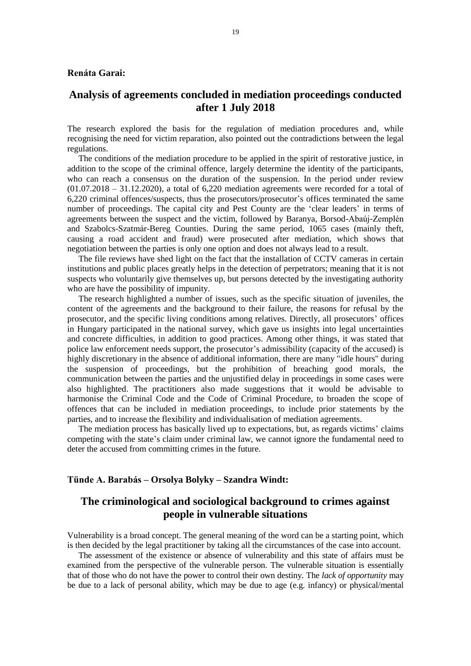### **Renáta Garai:**

## <span id="page-18-0"></span>**Analysis of agreements concluded in mediation proceedings conducted after 1 July 2018**

The research explored the basis for the regulation of mediation procedures and, while recognising the need for victim reparation, also pointed out the contradictions between the legal regulations.

The conditions of the mediation procedure to be applied in the spirit of restorative justice, in addition to the scope of the criminal offence, largely determine the identity of the participants, who can reach a consensus on the duration of the suspension. In the period under review  $(01.07.2018 - 31.12.2020)$ , a total of 6.220 mediation agreements were recorded for a total of 6,220 criminal offences/suspects, thus the prosecutors/prosecutor's offices terminated the same number of proceedings. The capital city and Pest County are the 'clear leaders' in terms of agreements between the suspect and the victim, followed by Baranya, Borsod-Abaúj-Zemplén and Szabolcs-Szatmár-Bereg Counties. During the same period, 1065 cases (mainly theft, causing a road accident and fraud) were prosecuted after mediation, which shows that negotiation between the parties is only one option and does not always lead to a result.

The file reviews have shed light on the fact that the installation of CCTV cameras in certain institutions and public places greatly helps in the detection of perpetrators; meaning that it is not suspects who voluntarily give themselves up, but persons detected by the investigating authority who are have the possibility of impunity.

The research highlighted a number of issues, such as the specific situation of juveniles, the content of the agreements and the background to their failure, the reasons for refusal by the prosecutor, and the specific living conditions among relatives. Directly, all prosecutors' offices in Hungary participated in the national survey, which gave us insights into legal uncertainties and concrete difficulties, in addition to good practices. Among other things, it was stated that police law enforcement needs support, the prosecutor's admissibility (capacity of the accused) is highly discretionary in the absence of additional information, there are many "idle hours" during the suspension of proceedings, but the prohibition of breaching good morals, the communication between the parties and the unjustified delay in proceedings in some cases were also highlighted. The practitioners also made suggestions that it would be advisable to harmonise the Criminal Code and the Code of Criminal Procedure, to broaden the scope of offences that can be included in mediation proceedings, to include prior statements by the parties, and to increase the flexibility and individualisation of mediation agreements.

The mediation process has basically lived up to expectations, but, as regards victims' claims competing with the state's claim under criminal law, we cannot ignore the fundamental need to deter the accused from committing crimes in the future.

#### **Tünde A. Barabás – Orsolya Bolyky – Szandra Windt:**

## <span id="page-18-1"></span>**The criminological and sociological background to crimes against people in vulnerable situations**

Vulnerability is a broad concept. The general meaning of the word can be a starting point, which is then decided by the legal practitioner by taking all the circumstances of the case into account.

The assessment of the existence or absence of vulnerability and this state of affairs must be examined from the perspective of the vulnerable person. The vulnerable situation is essentially that of those who do not have the power to control their own destiny. The *lack of opportunity* may be due to a lack of personal ability, which may be due to age (e.g. infancy) or physical/mental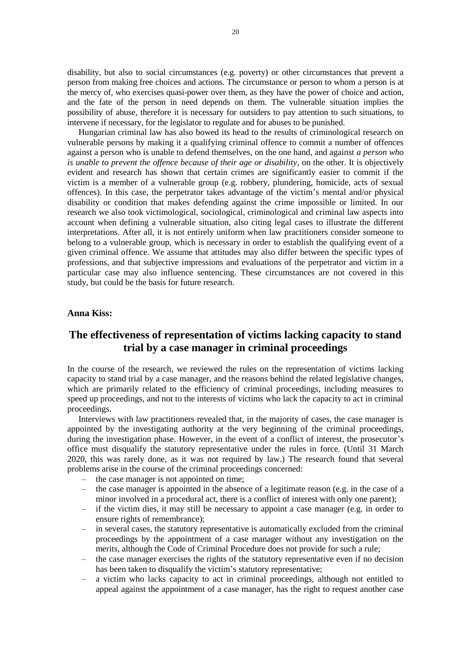disability, but also to social circumstances (e.g. poverty) or other circumstances that prevent a person from making free choices and actions. The circumstance or person to whom a person is at the mercy of, who exercises quasi-power over them, as they have the power of choice and action, and the fate of the person in need depends on them. The vulnerable situation implies the possibility of abuse, therefore it is necessary for outsiders to pay attention to such situations, to intervene if necessary, for the legislator to regulate and for abuses to be punished.

Hungarian criminal law has also bowed its head to the results of criminological research on vulnerable persons by making it a qualifying criminal offence to commit a number of offences against a person who is unable to defend themselves, on the one hand, and against *a person who is unable to prevent the offence because of their age or disability*, on the other. It is objectively evident and research has shown that certain crimes are significantly easier to commit if the victim is a member of a vulnerable group (e.g. robbery, plundering, homicide, acts of sexual offences). In this case, the perpetrator takes advantage of the victim's mental and/or physical disability or condition that makes defending against the crime impossible or limited. In our research we also took victimological, sociological, criminological and criminal law aspects into account when defining a vulnerable situation, also citing legal cases to illustrate the different interpretations. After all, it is not entirely uniform when law practitioners consider someone to belong to a vulnerable group, which is necessary in order to establish the qualifying event of a given criminal offence. We assume that attitudes may also differ between the specific types of professions, and that subjective impressions and evaluations of the perpetrator and victim in a particular case may also influence sentencing. These circumstances are not covered in this study, but could be the basis for future research.

#### **Anna Kiss:**

# <span id="page-19-0"></span>**The effectiveness of representation of victims lacking capacity to stand trial by a case manager in criminal proceedings**

In the course of the research, we reviewed the rules on the representation of victims lacking capacity to stand trial by a case manager, and the reasons behind the related legislative changes, which are primarily related to the efficiency of criminal proceedings, including measures to speed up proceedings, and not to the interests of victims who lack the capacity to act in criminal proceedings.

Interviews with law practitioners revealed that, in the majority of cases, the case manager is appointed by the investigating authority at the very beginning of the criminal proceedings, during the investigation phase. However, in the event of a conflict of interest, the prosecutor's office must disqualify the statutory representative under the rules in force. (Until 31 March 2020, this was rarely done, as it was not required by law.) The research found that several problems arise in the course of the criminal proceedings concerned:

- the case manager is not appointed on time;
- the case manager is appointed in the absence of a legitimate reason (e.g. in the case of a minor involved in a procedural act, there is a conflict of interest with only one parent);
- if the victim dies, it may still be necessary to appoint a case manager (e.g. in order to ensure rights of remembrance);
- in several cases, the statutory representative is automatically excluded from the criminal proceedings by the appointment of a case manager without any investigation on the merits, although the Code of Criminal Procedure does not provide for such a rule;
- the case manager exercises the rights of the statutory representative even if no decision has been taken to disqualify the victim's statutory representative;
- a victim who lacks capacity to act in criminal proceedings, although not entitled to appeal against the appointment of a case manager, has the right to request another case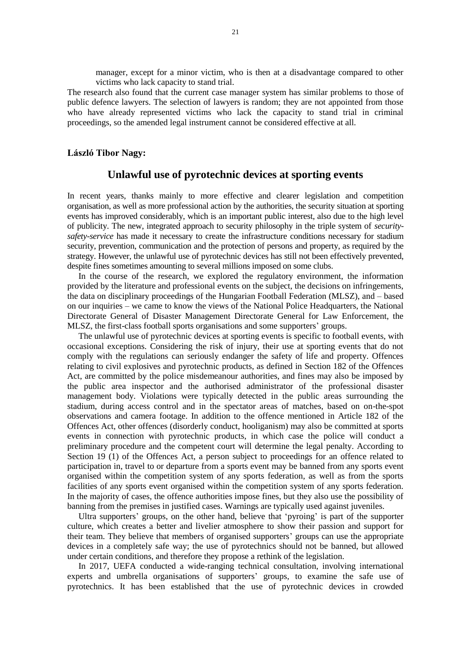manager, except for a minor victim, who is then at a disadvantage compared to other victims who lack capacity to stand trial.

The research also found that the current case manager system has similar problems to those of public defence lawyers. The selection of lawyers is random; they are not appointed from those who have already represented victims who lack the capacity to stand trial in criminal proceedings, so the amended legal instrument cannot be considered effective at all.

#### <span id="page-20-0"></span>**László Tibor Nagy:**

### **Unlawful use of pyrotechnic devices at sporting events**

In recent years, thanks mainly to more effective and clearer legislation and competition organisation, as well as more professional action by the authorities, the security situation at sporting events has improved considerably, which is an important public interest, also due to the high level of publicity. The new, integrated approach to security philosophy in the triple system of *securitysafety-service* has made it necessary to create the infrastructure conditions necessary for stadium security, prevention, communication and the protection of persons and property, as required by the strategy. However, the unlawful use of pyrotechnic devices has still not been effectively prevented, despite fines sometimes amounting to several millions imposed on some clubs.

In the course of the research, we explored the regulatory environment, the information provided by the literature and professional events on the subject, the decisions on infringements, the data on disciplinary proceedings of the Hungarian Football Federation (MLSZ), and – based on our inquiries – we came to know the views of the National Police Headquarters, the National Directorate General of Disaster Management Directorate General for Law Enforcement, the MLSZ, the first-class football sports organisations and some supporters' groups.

The unlawful use of pyrotechnic devices at sporting events is specific to football events, with occasional exceptions. Considering the risk of injury, their use at sporting events that do not comply with the regulations can seriously endanger the safety of life and property. Offences relating to civil explosives and pyrotechnic products, as defined in Section 182 of the Offences Act, are committed by the police misdemeanour authorities, and fines may also be imposed by the public area inspector and the authorised administrator of the professional disaster management body. Violations were typically detected in the public areas surrounding the stadium, during access control and in the spectator areas of matches, based on on-the-spot observations and camera footage. In addition to the offence mentioned in Article 182 of the Offences Act, other offences (disorderly conduct, hooliganism) may also be committed at sports events in connection with pyrotechnic products, in which case the police will conduct a preliminary procedure and the competent court will determine the legal penalty. According to Section 19 (1) of the Offences Act, a person subject to proceedings for an offence related to participation in, travel to or departure from a sports event may be banned from any sports event organised within the competition system of any sports federation, as well as from the sports facilities of any sports event organised within the competition system of any sports federation. In the majority of cases, the offence authorities impose fines, but they also use the possibility of banning from the premises in justified cases. Warnings are typically used against juveniles.

Ultra supporters' groups, on the other hand, believe that 'pyroing' is part of the supporter culture, which creates a better and livelier atmosphere to show their passion and support for their team. They believe that members of organised supporters' groups can use the appropriate devices in a completely safe way; the use of pyrotechnics should not be banned, but allowed under certain conditions, and therefore they propose a rethink of the legislation.

In 2017, UEFA conducted a wide-ranging technical consultation, involving international experts and umbrella organisations of supporters' groups, to examine the safe use of pyrotechnics. It has been established that the use of pyrotechnic devices in crowded